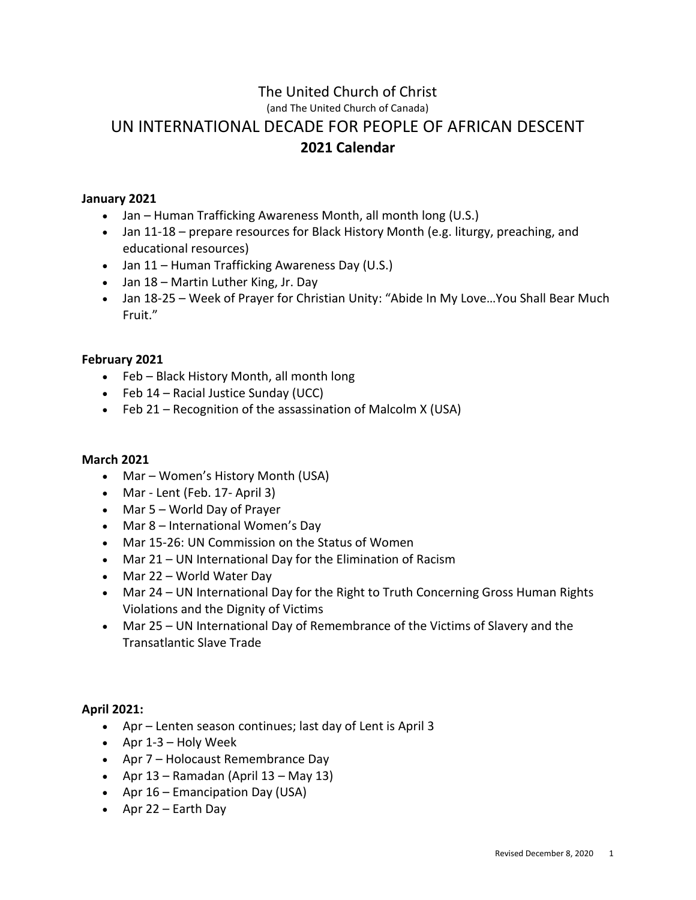# The United Church of Christ (and The United Church of Canada) UN INTERNATIONAL DECADE FOR PEOPLE OF AFRICAN DESCENT **2021 Calendar**

# **January 2021**

- Jan Human Trafficking Awareness Month, all month long (U.S.)
- Jan 11-18 prepare resources for Black History Month (e.g. liturgy, preaching, and educational resources)
- Jan 11 Human Trafficking Awareness Day (U.S.)
- Jan 18 Martin Luther King, Jr. Day
- Jan 18-25 Week of Prayer for Christian Unity: "Abide In My Love…You Shall Bear Much Fruit."

# **February 2021**

- Feb Black History Month, all month long
- Feb 14 Racial Justice Sunday (UCC)
- Feb 21 Recognition of the assassination of Malcolm X (USA)

# **March 2021**

- Mar Women's History Month (USA)
- Mar Lent (Feb. 17- April 3)
- Mar 5 World Day of Prayer
- Mar 8 International Women's Day
- Mar 15-26: UN Commission on the Status of Women
- Mar 21 UN International Day for the Elimination of Racism
- Mar 22 World Water Day
- Mar 24 UN International Day for the Right to Truth Concerning Gross Human Rights Violations and the Dignity of Victims
- Mar 25 UN International Day of Remembrance of the Victims of Slavery and the Transatlantic Slave Trade

# **April 2021:**

- Apr Lenten season continues; last day of Lent is April 3
- Apr 1-3 Holy Week
- Apr 7 Holocaust Remembrance Day
- Apr  $13$  Ramadan (April  $13$  May  $13$ )
- Apr 16 Emancipation Day (USA)
- Apr 22 Earth Day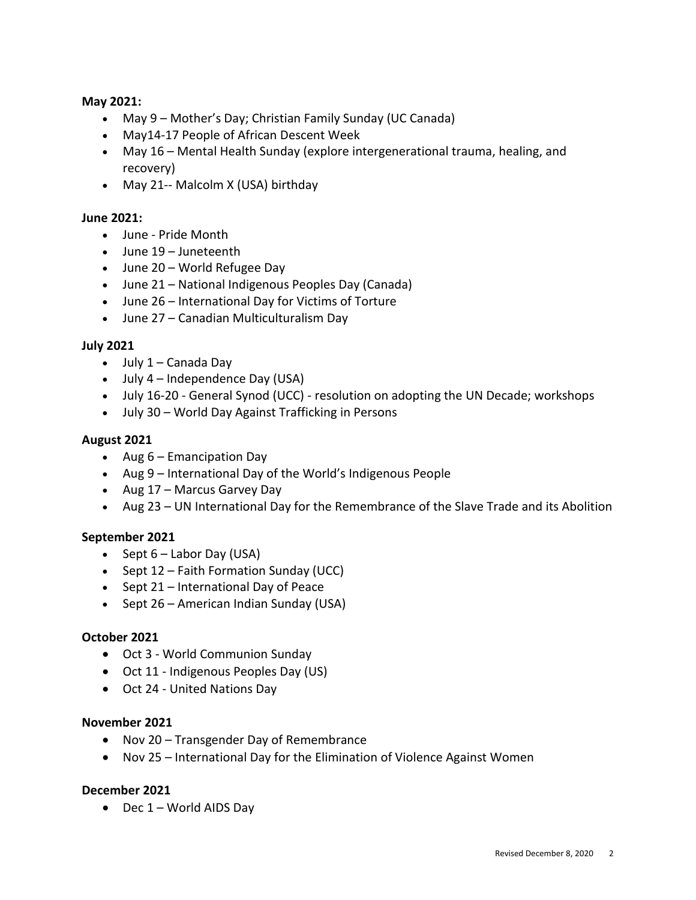## **May 2021:**

- May 9 Mother's Day; Christian Family Sunday (UC Canada)
- May14-17 People of African Descent Week
- May 16 Mental Health Sunday (explore intergenerational trauma, healing, and recovery)
- May 21-- Malcolm X (USA) birthday

## **June 2021:**

- June Pride Month
- June 19 Juneteenth
- June 20 World Refugee Day
- June 21 National Indigenous Peoples Day (Canada)
- June 26 International Day for Victims of Torture
- June 27 Canadian Multiculturalism Day

## **July 2021**

- $\bullet$  July 1 Canada Day
- July 4 Independence Day (USA)
- July 16-20 General Synod (UCC) resolution on adopting the UN Decade; workshops
- July 30 World Day Against Trafficking in Persons

## **August 2021**

- Aug 6 Emancipation Day
- Aug 9 International Day of the World's Indigenous People
- Aug 17 Marcus Garvey Day
- Aug 23 UN International Day for the Remembrance of the Slave Trade and its Abolition

# **September 2021**

- Sept  $6$  Labor Day (USA)
- Sept 12 Faith Formation Sunday (UCC)
- Sept 21 International Day of Peace
- Sept 26 American Indian Sunday (USA)

#### **October 2021**

- Oct 3 World Communion Sunday
- Oct 11 Indigenous Peoples Day (US)
- Oct 24 United Nations Day

#### **November 2021**

- Nov 20 Transgender Day of Remembrance
- Nov 25 International Day for the Elimination of Violence Against Women

#### **December 2021**

• Dec 1 – World AIDS Day